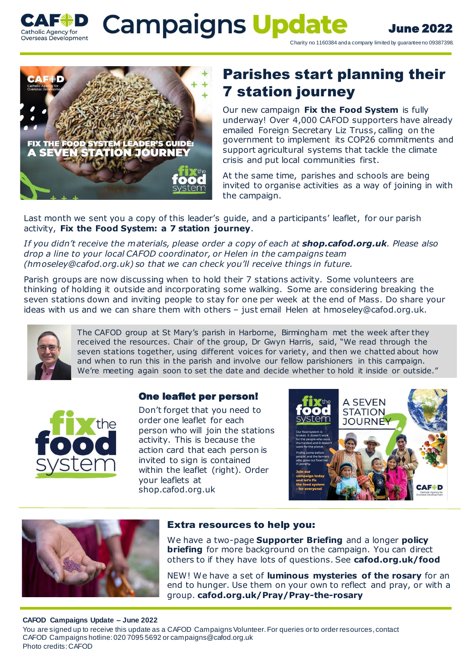

limited by guarantee no 09387398. June 2022

Charity no 1160384 and a company limited by guarantee no 09387398.



# Parishes start planning their 7 station journey

Our new campaign **Fix the Food System** is fully underway! Over 4,000 CAFOD supporters have already emailed Foreign Secretary Liz Truss, calling on the government to implement its COP26 commitments and support agricultural systems that tackle the climate crisis and put local communities first.

At the same time, parishes and schools are being invited to organise activities as a way of joining in with the campaign.

Last month we sent you a copy of this leader's guide, and a participants' leaflet, for our parish activity, **Fix the Food System: a 7 station journey**.

*If you didn't receive the materials, please order a copy of each at shop.cafod.org.uk. Please also drop a line to your local CAFOD coordinator, or Helen in the campaigns team (hmoseley@cafod.org.uk) so that we can check you'll receive things in future.*

Parish groups are now discussing when to hold their 7 stations activity. Some volunteers are thinking of holding it outside and incorporating some walking. Some are considering breaking the seven stations down and inviting people to stay for one per week at the end of Mass. Do share your ideas with us and we can share them with others – just email Helen at hmoseley@cafod.org.uk.



The CAFOD group at St Mary's parish in Harborne, Birmingham met the week after they received the resources. Chair of the group, Dr Gwyn Harris, said, "We read through the seven stations together, using different voices for variety, and then we chatted about how and when to run this in the parish and involve our fellow parishioners in this campaign. We're meeting again soon to set the date and decide whether to hold it inside or outside."



### One leaflet per person!

Don't forget that you need to order one leaflet for each person who will join the stations activity. This is because the action card that each person is invited to sign is contained within the leaflet (right). Order your leaflets at shop.cafod.org.uk





### Extra resources to help you:

We have a two-page **Supporter Briefing** and a longer **policy briefing** for more background on the campaign. You can direct others to if they have lots of questions. See **cafod.org.uk/food**

NEW! We have a set of **luminous mysteries of the rosary** for an end to hunger. Use them on your own to reflect and pray, or with a group. **cafod.org.uk/Pray/Pray-the-rosary**

### **CAFOD Campaigns Update – June 2022**

You are signed up to receive this update as a CAFOD Campaigns Volunteer. For queries or to order resources, contact CAFOD Campaigns hotline: 020 7095 5692 or campaigns@cafod.org.uk Photo credits: CAFOD